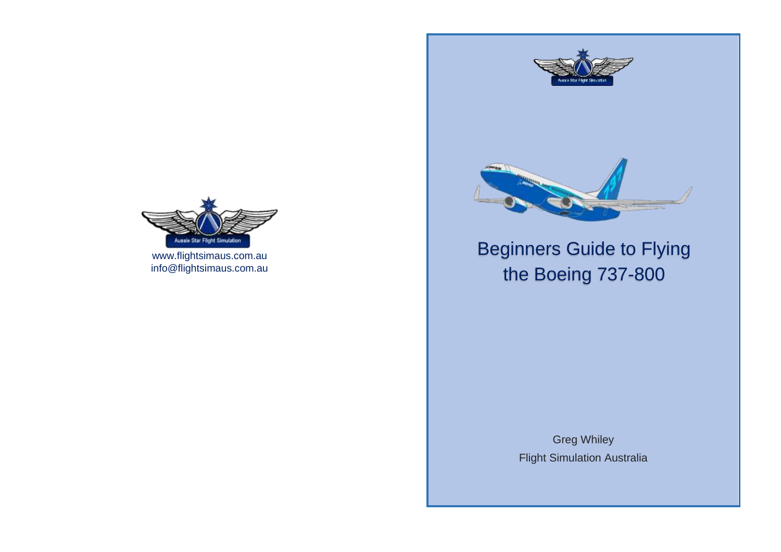



# Beginners Guide to Flying the Boeing 737-800

Greg Whiley Flight Simulation Australia



[www.flightsimaus.com.au](http://www.flightsimaus.com.au/) info@flightsimaus.com.au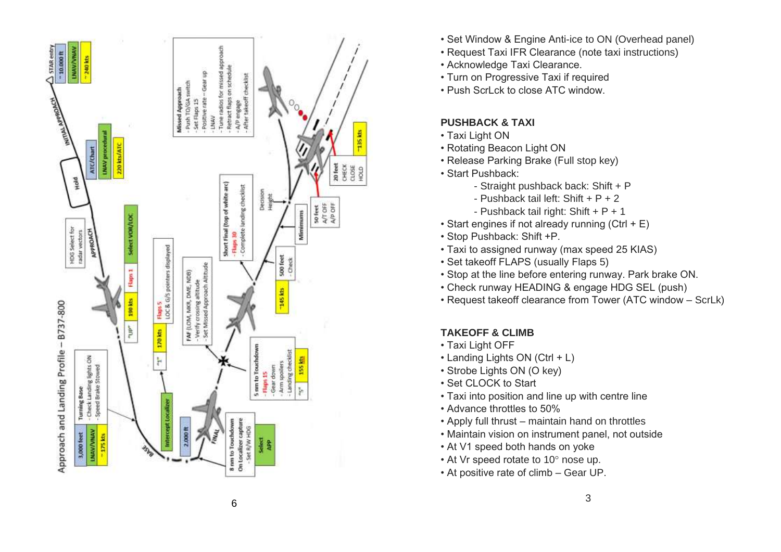

- Set Window & Engine Anti-ice to ON (Overhead panel)
- Request Taxi IFR Clearance (note taxi instructions)
- Acknowledge Taxi Clearance.
- Turn on Progressive Taxi if required
- Push ScrLck to close ATC window.

## **PUSHBACK & TAXI**

- Taxi Light ON
- Rotating Beacon Light ON
- Release Parking Brake (Full stop key)
- Start Pushback:
	- Straight pushback back: Shift + P
	- Pushback tail left: Shift + P + 2
	- Pushback tail right: Shift + P + 1
- Start engines if not already running  $(CtrI + E)$
- Stop Pushback: Shift +P.
- Taxi to assigned runway (max speed 25 KIAS)
- Set takeoff FLAPS (usually Flaps 5)
- Stop at the line before entering runway. Park brake ON.
- Check runway HEADING & engage HDG SEL (push)
- Request takeoff clearance from Tower (ATC window ScrLk)

# **TAKEOFF & CLIMB**

- Taxi Light OFF
- Landing Lights ON (Ctrl + L)
- Strobe Lights ON (O key)
- Set CLOCK to Start
- Taxi into position and line up with centre line
- Advance throttles to 50%
- Apply full thrust maintain hand on throttles
- Maintain vision on instrument panel, not outside
- At V1 speed both hands on yoke
- At Vr speed rotate to 10° nose up.
- At positive rate of climb Gear UP.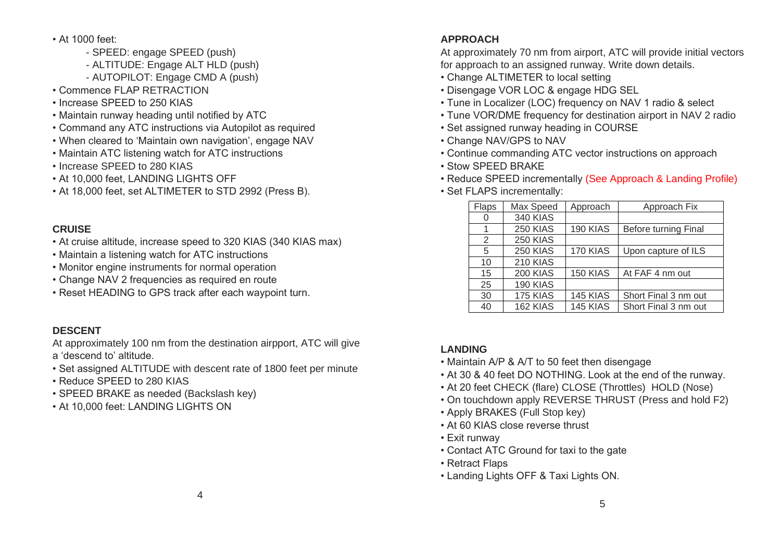- At 1000 feet:
	- SPEED: engage SPEED (push)
	- ALTITUDE: Engage ALT HLD (push)
	- AUTOPILOT: Engage CMD A (push)
- Commence FLAP RETRACTION
- Increase SPEED to 250 KIAS
- Maintain runway heading until notified by ATC
- Command any ATC instructions via Autopilot as required
- When cleared to 'Maintain own navigation', engage NAV
- Maintain ATC listening watch for ATC instructions
- Increase SPEED to 280 KIAS
- At 10,000 feet, LANDING LIGHTS OFF
- At 18,000 feet, set ALTIMETER to STD 2992 (Press B).

## **CRUISE**

- At cruise altitude, increase speed to 320 KIAS (340 KIAS max)
- Maintain a listening watch for ATC instructions
- Monitor engine instruments for normal operation
- Change NAV 2 frequencies as required en route
- Reset HEADING to GPS track after each waypoint turn.

## **DESCENT**

At approximately 100 nm from the destination airpport, ATC will give a 'descend to' altitude.

- Set assigned ALTITUDE with descent rate of 1800 feet per minute
- Reduce SPEED to 280 KIAS
- SPEED BRAKE as needed (Backslash key)
- At 10,000 feet: LANDING LIGHTS ON

## **APPROACH**

At approximately 70 nm from airport, ATC will provide initial vectors for approach to an assigned runway. Write down details.

- Change ALTIMETER to local setting
- Disengage VOR LOC & engage HDG SEL
- Tune in Localizer (LOC) frequency on NAV 1 radio & select
- Tune VOR/DME frequency for destination airport in NAV 2 radio
- Set assigned runway heading in COURSE
- Change NAV/GPS to NAV
- Continue commanding ATC vector instructions on approach
- Stow SPEED BRAKE
- Reduce SPEED incrementally (See Approach & Landing Profile)
- Set FLAPS incrementally:

| Flaps | Max Speed       | Approach        | Approach Fix         |
|-------|-----------------|-----------------|----------------------|
| 0     | <b>340 KIAS</b> |                 |                      |
| 1     | <b>250 KIAS</b> | <b>190 KIAS</b> | Before turning Final |
| 2     | <b>250 KIAS</b> |                 |                      |
| 5     | <b>250 KIAS</b> | 170 KIAS        | Upon capture of ILS  |
| 10    | <b>210 KIAS</b> |                 |                      |
| 15    | <b>200 KIAS</b> | 150 KIAS        | At FAF 4 nm out      |
| 25    | <b>190 KIAS</b> |                 |                      |
| 30    | 175 KIAS        | <b>145 KIAS</b> | Short Final 3 nm out |
| 40    | 162 KIAS        | 145 KIAS        | Short Final 3 nm out |

## **LANDING**

- Maintain A/P & A/T to 50 feet then disengage
- At 30 & 40 feet DO NOTHING. Look at the end of the runway.
- At 20 feet CHECK (flare) CLOSE (Throttles) HOLD (Nose)
- On touchdown apply REVERSE THRUST (Press and hold F2)
- Apply BRAKES (Full Stop key)
- At 60 KIAS close reverse thrust
- Exit runway
- Contact ATC Ground for taxi to the gate
- Retract Flaps
- Landing Lights OFF & Taxi Lights ON.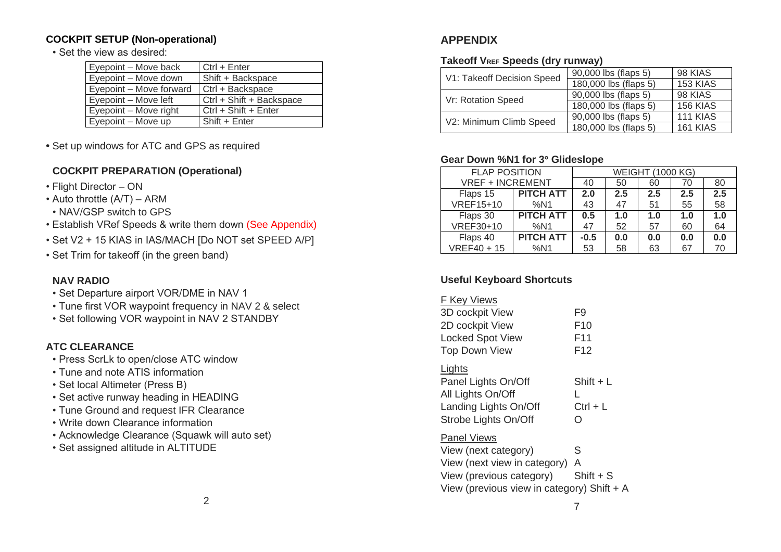#### **COCKPIT SETUP (Non-operational)**

• Set the view as desired:

| Eyepoint – Move back    | Ctrl + Enter             |
|-------------------------|--------------------------|
| Eyepoint – Move down    | Shift + Backspace        |
| Eyepoint – Move forward | Ctrl + Backspace         |
| Eyepoint - Move left    | Ctrl + Shift + Backspace |
| Eyepoint – Move right   | $Ctrl + Shift + Enter$   |
| Eyepoint - Move up      | Shift + Enter            |

**•** Set up windows for ATC and GPS as required

#### **COCKPIT PREPARATION (Operational)**

- Flight Director ON
- Auto throttle (A/T) ARM
- NAV/GSP switch to GPS
- Establish VRef Speeds & write them down (See Appendix)
- Set V2 + 15 KIAS in IAS/MACH [Do NOT set SPEED A/P]
- Set Trim for takeoff (in the green band)

#### **NAV RADIO**

- Set Departure airport VOR/DME in NAV 1
- Tune first VOR waypoint frequency in NAV 2 & select
- Set following VOR waypoint in NAV 2 STANDBY

#### **ATC CLEARANCE**

- Press ScrLk to open/close ATC window
- Tune and note ATIS information
- Set local Altimeter (Press B)
- Set active runway heading in HEADING
- Tune Ground and request IFR Clearance
- Write down Clearance information
- Acknowledge Clearance (Squawk will auto set)
- Set assigned altitude in ALTITUDE

## **APPENDIX**

#### **Takeoff VREF Speeds (dry runway)**

| V1: Takeoff Decision Speed | 90,000 lbs (flaps 5)  | 98 KIAS         |
|----------------------------|-----------------------|-----------------|
|                            | 180,000 lbs (flaps 5) | 153 KIAS        |
| Vr: Rotation Speed         | 90,000 lbs (flaps 5)  | 98 KIAS         |
|                            | 180,000 lbs (flaps 5) | 156 KIAS        |
| V2: Minimum Climb Speed    | 90,000 lbs (flaps 5)  | <b>111 KIAS</b> |
|                            | 180,000 lbs (flaps 5) | 161 KIAS        |

#### **Gear Down %N1 for 3 Glideslope**

| <b>FLAP POSITION</b>    |                  | <b>WEIGHT (1000 KG)</b> |     |     |     |     |
|-------------------------|------------------|-------------------------|-----|-----|-----|-----|
| <b>VREF + INCREMENT</b> |                  | 40                      | 50  | 60  | 70  | 80  |
| Flaps 15                | <b>PITCH ATT</b> | 2.0                     | 2.5 | 2.5 | 2.5 | 2.5 |
| <b>VREF15+10</b>        | %N1              | 43                      | 47  | 51  | 55  | 58  |
| Flaps 30                | <b>PITCH ATT</b> | 0.5                     | 1.0 | 1.0 | 1.0 | 1.0 |
| VREF30+10               | %N1              | 47                      | 52  | 57  | 60  | 64  |
| Flaps 40                | <b>PITCH ATT</b> | $-0.5$                  | 0.0 | 0.0 | 0.0 | 0.0 |
| $VREF40+15$             | %N1              | 53                      | 58  | 63  | 67  | 70  |

#### **Useful Keyboard Shortcuts**

| Kev Views |  |  |
|-----------|--|--|
|           |  |  |

| 3D cockpit View         | F9              |
|-------------------------|-----------------|
| 2D cockpit View         | F <sub>10</sub> |
| <b>Locked Spot View</b> | F11             |
| Top Down View           | F <sub>12</sub> |
|                         |                 |

#### **Lights**

| Panel Lights On/Off   | $Shift + L$      |
|-----------------------|------------------|
| All Lights On/Off     |                  |
| Landing Lights On/Off | $Ctrl + L$       |
| Strobe Lights On/Off  | $\left( \right)$ |

#### Panel Views

View (next category) S View (next view in category) A View (previous category) Shift + S View (previous view in category) Shift + A